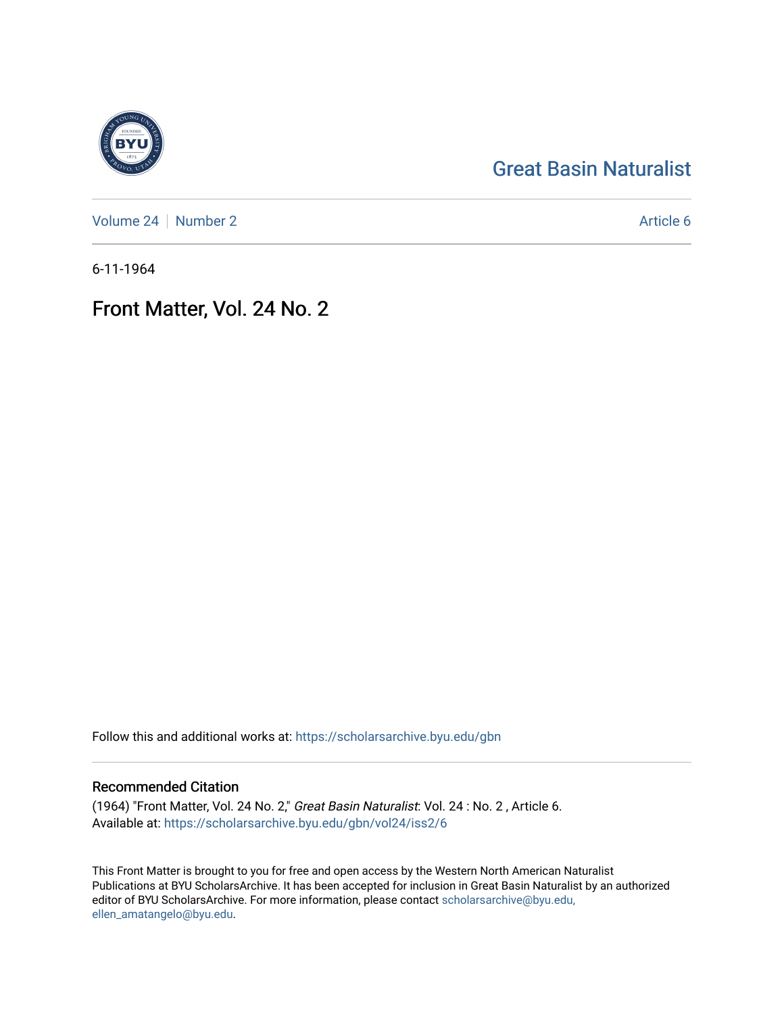## [Great Basin Naturalist](https://scholarsarchive.byu.edu/gbn)

[Volume 24](https://scholarsarchive.byu.edu/gbn/vol24) | [Number 2](https://scholarsarchive.byu.edu/gbn/vol24/iss2) Article 6

6-11-1964

## Front Matter, Vol. 24 No. 2

Follow this and additional works at: [https://scholarsarchive.byu.edu/gbn](https://scholarsarchive.byu.edu/gbn?utm_source=scholarsarchive.byu.edu%2Fgbn%2Fvol24%2Fiss2%2F6&utm_medium=PDF&utm_campaign=PDFCoverPages) 

## Recommended Citation

(1964) "Front Matter, Vol. 24 No. 2," Great Basin Naturalist: Vol. 24 : No. 2 , Article 6. Available at: [https://scholarsarchive.byu.edu/gbn/vol24/iss2/6](https://scholarsarchive.byu.edu/gbn/vol24/iss2/6?utm_source=scholarsarchive.byu.edu%2Fgbn%2Fvol24%2Fiss2%2F6&utm_medium=PDF&utm_campaign=PDFCoverPages)

This Front Matter is brought to you for free and open access by the Western North American Naturalist Publications at BYU ScholarsArchive. It has been accepted for inclusion in Great Basin Naturalist by an authorized editor of BYU ScholarsArchive. For more information, please contact [scholarsarchive@byu.edu,](mailto:scholarsarchive@byu.edu,%20ellen_amatangelo@byu.edu) [ellen\\_amatangelo@byu.edu](mailto:scholarsarchive@byu.edu,%20ellen_amatangelo@byu.edu).

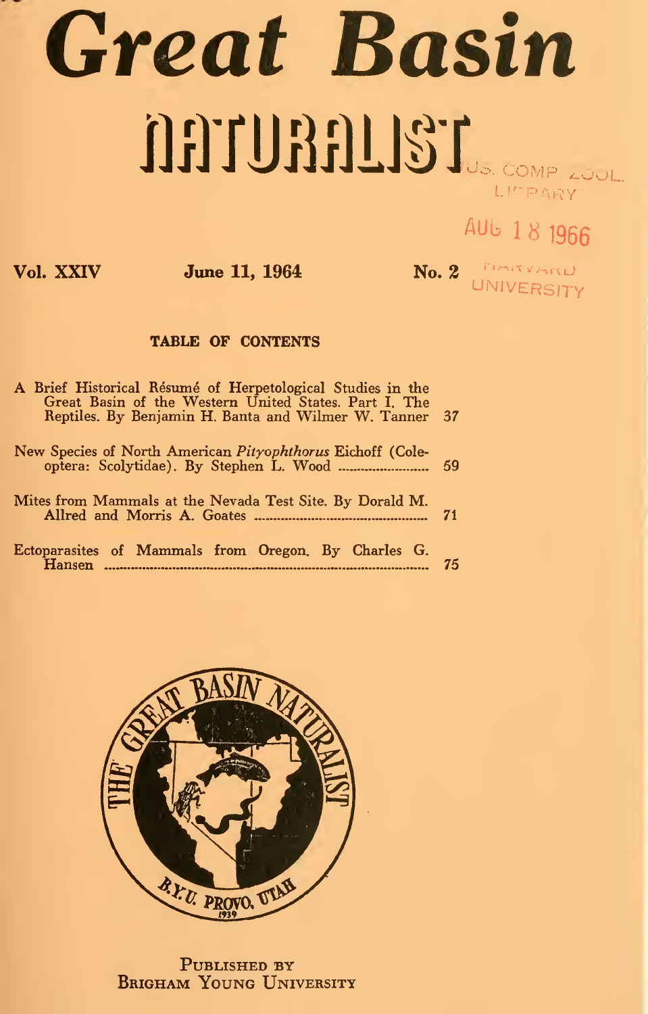# Great Basin SST TURBILLST

# AUb <sup>I</sup> <sup>8</sup> <sup>1966</sup>

Vol. XXIV **June 11, 1964** No. 2 **No. 2 Mo. 2 Mo. 2 Mo. 2 Mo.** 2 UNIVERSITY

### TABLE OF CONTENTS

| A Brief Historical Résumé of Herpetological Studies in the<br>Great Basin of the Western United States, Part I. The<br>Reptiles. By Benjamin H. Banta and Wilmer W. Tanner 37 |    |  |  |  |  |  |
|-------------------------------------------------------------------------------------------------------------------------------------------------------------------------------|----|--|--|--|--|--|
| New Species of North American <i>Pityophthorus</i> Eichoff (Cole-                                                                                                             |    |  |  |  |  |  |
| Mites from Mammals at the Nevada Test Site. By Dorald M.                                                                                                                      |    |  |  |  |  |  |
| Ectoparasites of Mammals from Oregon. By Charles G.                                                                                                                           | 75 |  |  |  |  |  |



PUBLISHED BY BRIGHAM YOUNG UNIVERSITY